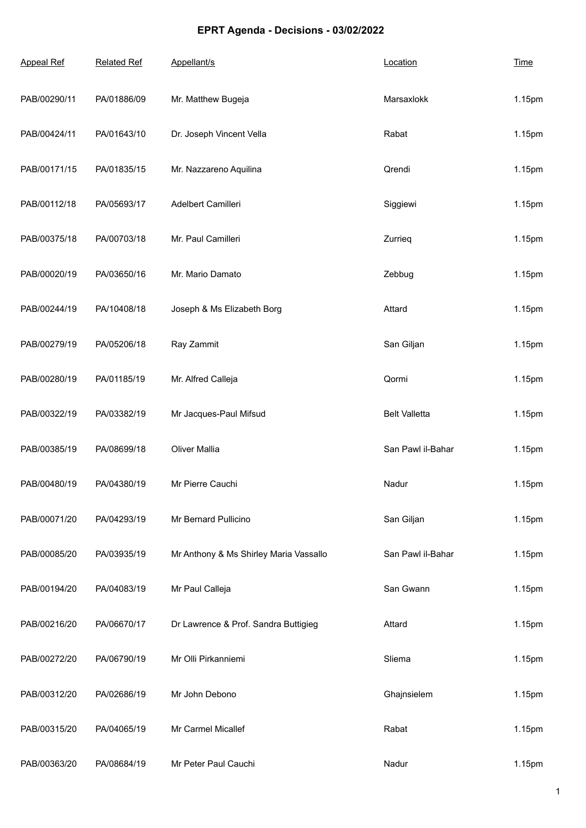## **EPRT Agenda - Decisions - 03/02/2022**

| <b>Appeal Ref</b> | <b>Related Ref</b> | Appellant/s                            | Location             | <b>Time</b> |
|-------------------|--------------------|----------------------------------------|----------------------|-------------|
| PAB/00290/11      | PA/01886/09        | Mr. Matthew Bugeja                     | Marsaxlokk           | 1.15pm      |
| PAB/00424/11      | PA/01643/10        | Dr. Joseph Vincent Vella               | Rabat                | 1.15pm      |
| PAB/00171/15      | PA/01835/15        | Mr. Nazzareno Aquilina                 | Qrendi               | 1.15pm      |
| PAB/00112/18      | PA/05693/17        | Adelbert Camilleri                     | Siggiewi             | 1.15pm      |
| PAB/00375/18      | PA/00703/18        | Mr. Paul Camilleri                     | Zurrieg              | 1.15pm      |
| PAB/00020/19      | PA/03650/16        | Mr. Mario Damato                       | Zebbug               | 1.15pm      |
| PAB/00244/19      | PA/10408/18        | Joseph & Ms Elizabeth Borg             | Attard               | 1.15pm      |
| PAB/00279/19      | PA/05206/18        | Ray Zammit                             | San Giljan           | 1.15pm      |
| PAB/00280/19      | PA/01185/19        | Mr. Alfred Calleja                     | Qormi                | 1.15pm      |
| PAB/00322/19      | PA/03382/19        | Mr Jacques-Paul Mifsud                 | <b>Belt Valletta</b> | 1.15pm      |
| PAB/00385/19      | PA/08699/18        | <b>Oliver Mallia</b>                   | San Pawl il-Bahar    | 1.15pm      |
| PAB/00480/19      | PA/04380/19        | Mr Pierre Cauchi                       | Nadur                | 1.15pm      |
| PAB/00071/20      | PA/04293/19        | Mr Bernard Pullicino                   | San Giljan           | 1.15pm      |
| PAB/00085/20      | PA/03935/19        | Mr Anthony & Ms Shirley Maria Vassallo | San Pawl il-Bahar    | 1.15pm      |
| PAB/00194/20      | PA/04083/19        | Mr Paul Calleja                        | San Gwann            | 1.15pm      |
| PAB/00216/20      | PA/06670/17        | Dr Lawrence & Prof. Sandra Buttigieg   | Attard               | 1.15pm      |
| PAB/00272/20      | PA/06790/19        | Mr Olli Pirkanniemi                    | Sliema               | 1.15pm      |
| PAB/00312/20      | PA/02686/19        | Mr John Debono                         | Ghajnsielem          | 1.15pm      |
| PAB/00315/20      | PA/04065/19        | Mr Carmel Micallef                     | Rabat                | 1.15pm      |
| PAB/00363/20      | PA/08684/19        | Mr Peter Paul Cauchi                   | Nadur                | 1.15pm      |